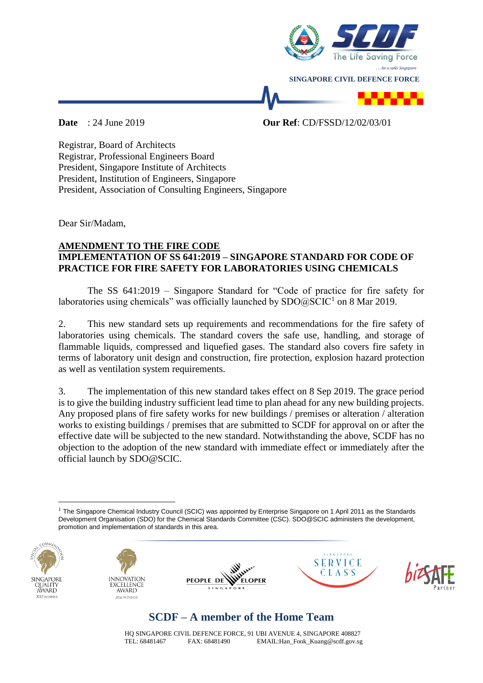

**Date** : 24 June 2019 **Our Ref**: CD/FSSD/12/02/03/01

Registrar, Board of Architects Registrar, Professional Engineers Board President, Singapore Institute of Architects President, Institution of Engineers, Singapore President, Association of Consulting Engineers, Singapore

Dear Sir/Madam,

## **AMENDMENT TO THE FIRE CODE IMPLEMENTATION OF SS 641:2019 – SINGAPORE STANDARD FOR CODE OF PRACTICE FOR FIRE SAFETY FOR LABORATORIES USING CHEMICALS**

The SS 641:2019 – Singapore Standard for "Code of practice for fire safety for laboratories using chemicals" was officially launched by  $\text{SDO@SCIC}^1$  on 8 Mar 2019.

2. This new standard sets up requirements and recommendations for the fire safety of laboratories using chemicals. The standard covers the safe use, handling, and storage of flammable liquids, compressed and liquefied gases. The standard also covers fire safety in terms of laboratory unit design and construction, fire protection, explosion hazard protection as well as ventilation system requirements.

3. The implementation of this new standard takes effect on 8 Sep 2019. The grace period is to give the building industry sufficient lead time to plan ahead for any new building projects. Any proposed plans of fire safety works for new buildings / premises or alteration / alteration works to existing buildings / premises that are submitted to SCDF for approval on or after the effective date will be subjected to the new standard. Notwithstanding the above, SCDF has no objection to the adoption of the new standard with immediate effect or immediately after the official launch by SDO@SCIC.

 $1$  The Singapore Chemical Industry Council (SCIC) was appointed by Enterprise Singapore on 1 April 2011 as the Standards Development Organisation (SDO) for the Chemical Standards Committee (CSC). SDO@SCIC administers the development, promotion and implementation of standards in this area.



<u>.</u>









## **SCDF – A member of the Home Team**